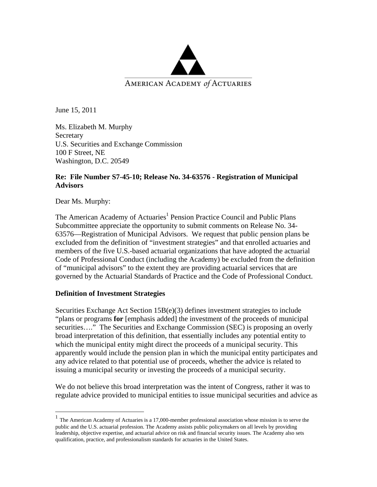

June 15, 2011

Ms. Elizabeth M. Murphy **Secretary** U.S. Securities and Exchange Commission 100 F Street, NE Washington, D.C. 20549

#### **Re: File Number S7-45-10; Release No. 34-63576 - Registration of Municipal Advisors**

Dear Ms. Murphy:

 $\overline{a}$ 

The American Academy of Actuaries<sup>1</sup> Pension Practice Council and Public Plans Subcommittee appreciate the opportunity to submit comments on Release No. 34- 63576—Registration of Municipal Advisors. We request that public pension plans be excluded from the definition of "investment strategies" and that enrolled actuaries and members of the five U.S.-based actuarial organizations that have adopted the actuarial Code of Professional Conduct (including the Academy) be excluded from the definition of "municipal advisors" to the extent they are providing actuarial services that are governed by the Actuarial Standards of Practice and the Code of Professional Conduct.

## **Definition of Investment Strategies**

Securities Exchange Act Section 15B(e)(3) defines investment strategies to include "plans or programs **for** [emphasis added] the investment of the proceeds of municipal securities...." The Securities and Exchange Commission (SEC) is proposing an overly broad interpretation of this definition, that essentially includes any potential entity to which the municipal entity might direct the proceeds of a municipal security. This apparently would include the pension plan in which the municipal entity participates and any advice related to that potential use of proceeds, whether the advice is related to issuing a municipal security or investing the proceeds of a municipal security.

We do not believe this broad interpretation was the intent of Congress, rather it was to regulate advice provided to municipal entities to issue municipal securities and advice as

<sup>&</sup>lt;sup>1</sup> The American Academy of Actuaries is a 17,000-member professional association whose mission is to serve the public and the U.S. actuarial profession. The Academy assists public policymakers on all levels by providing leadership, objective expertise, and actuarial advice on risk and financial security issues. The Academy also sets qualification, practice, and professionalism standards for actuaries in the United States.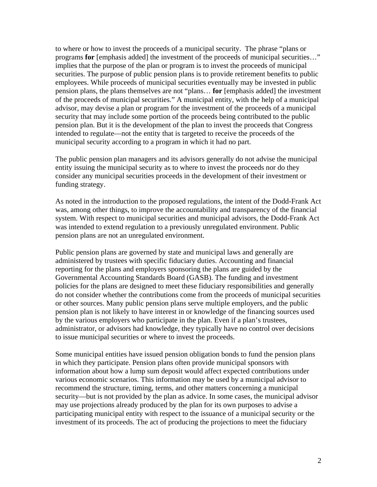to where or how to invest the proceeds of a municipal security. The phrase "plans or programs **for** [emphasis added] the investment of the proceeds of municipal securities…" implies that the purpose of the plan or program is to invest the proceeds of municipal securities. The purpose of public pension plans is to provide retirement benefits to public employees. While proceeds of municipal securities eventually may be invested in public pension plans, the plans themselves are not "plans… **for** [emphasis added] the investment of the proceeds of municipal securities." A municipal entity, with the help of a municipal advisor, may devise a plan or program for the investment of the proceeds of a municipal security that may include some portion of the proceeds being contributed to the public pension plan. But it is the development of the plan to invest the proceeds that Congress intended to regulate—not the entity that is targeted to receive the proceeds of the municipal security according to a program in which it had no part.

The public pension plan managers and its advisors generally do not advise the municipal entity issuing the municipal security as to where to invest the proceeds nor do they consider any municipal securities proceeds in the development of their investment or funding strategy.

As noted in the introduction to the proposed regulations, the intent of the Dodd-Frank Act was, among other things, to improve the accountability and transparency of the financial system. With respect to municipal securities and municipal advisors, the Dodd-Frank Act was intended to extend regulation to a previously unregulated environment. Public pension plans are not an unregulated environment.

Public pension plans are governed by state and municipal laws and generally are administered by trustees with specific fiduciary duties. Accounting and financial reporting for the plans and employers sponsoring the plans are guided by the Governmental Accounting Standards Board (GASB). The funding and investment policies for the plans are designed to meet these fiduciary responsibilities and generally do not consider whether the contributions come from the proceeds of municipal securities or other sources. Many public pension plans serve multiple employers, and the public pension plan is not likely to have interest in or knowledge of the financing sources used by the various employers who participate in the plan. Even if a plan's trustees, administrator, or advisors had knowledge, they typically have no control over decisions to issue municipal securities or where to invest the proceeds.

Some municipal entities have issued pension obligation bonds to fund the pension plans in which they participate. Pension plans often provide municipal sponsors with information about how a lump sum deposit would affect expected contributions under various economic scenarios. This information may be used by a municipal advisor to recommend the structure, timing, terms, and other matters concerning a municipal security—but is not provided by the plan as advice. In some cases, the municipal advisor may use projections already produced by the plan for its own purposes to advise a participating municipal entity with respect to the issuance of a municipal security or the investment of its proceeds. The act of producing the projections to meet the fiduciary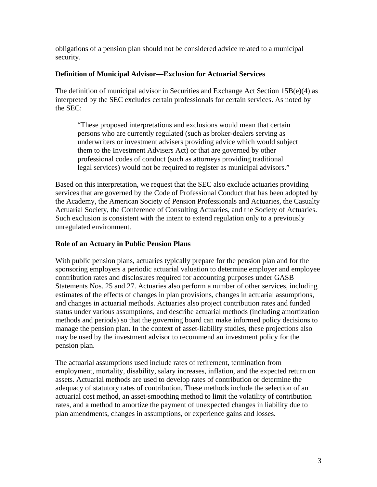obligations of a pension plan should not be considered advice related to a municipal security.

## **Definition of Municipal Advisor—Exclusion for Actuarial Services**

The definition of municipal advisor in Securities and Exchange Act Section 15B(e)(4) as interpreted by the SEC excludes certain professionals for certain services. As noted by the SEC:

"These proposed interpretations and exclusions would mean that certain persons who are currently regulated (such as broker-dealers serving as underwriters or investment advisers providing advice which would subject them to the Investment Advisers Act) or that are governed by other professional codes of conduct (such as attorneys providing traditional legal services) would not be required to register as municipal advisors."

Based on this interpretation, we request that the SEC also exclude actuaries providing services that are governed by the Code of Professional Conduct that has been adopted by the Academy, the American Society of Pension Professionals and Actuaries, the Casualty Actuarial Society, the Conference of Consulting Actuaries, and the Society of Actuaries. Such exclusion is consistent with the intent to extend regulation only to a previously unregulated environment.

## **Role of an Actuary in Public Pension Plans**

With public pension plans, actuaries typically prepare for the pension plan and for the sponsoring employers a periodic actuarial valuation to determine employer and employee contribution rates and disclosures required for accounting purposes under GASB Statements Nos. 25 and 27. Actuaries also perform a number of other services, including estimates of the effects of changes in plan provisions, changes in actuarial assumptions, and changes in actuarial methods. Actuaries also project contribution rates and funded status under various assumptions, and describe actuarial methods (including amortization methods and periods) so that the governing board can make informed policy decisions to manage the pension plan. In the context of asset-liability studies, these projections also may be used by the investment advisor to recommend an investment policy for the pension plan.

The actuarial assumptions used include rates of retirement, termination from employment, mortality, disability, salary increases, inflation, and the expected return on assets. Actuarial methods are used to develop rates of contribution or determine the adequacy of statutory rates of contribution. These methods include the selection of an actuarial cost method, an asset-smoothing method to limit the volatility of contribution rates, and a method to amortize the payment of unexpected changes in liability due to plan amendments, changes in assumptions, or experience gains and losses.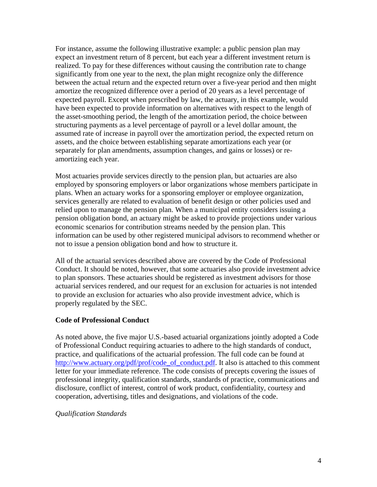For instance, assume the following illustrative example: a public pension plan may expect an investment return of 8 percent, but each year a different investment return is realized. To pay for these differences without causing the contribution rate to change significantly from one year to the next, the plan might recognize only the difference between the actual return and the expected return over a five-year period and then might amortize the recognized difference over a period of 20 years as a level percentage of expected payroll. Except when prescribed by law, the actuary, in this example, would have been expected to provide information on alternatives with respect to the length of the asset-smoothing period, the length of the amortization period, the choice between structuring payments as a level percentage of payroll or a level dollar amount, the assumed rate of increase in payroll over the amortization period, the expected return on assets, and the choice between establishing separate amortizations each year (or separately for plan amendments, assumption changes, and gains or losses) or reamortizing each year.

Most actuaries provide services directly to the pension plan, but actuaries are also employed by sponsoring employers or labor organizations whose members participate in plans. When an actuary works for a sponsoring employer or employee organization, services generally are related to evaluation of benefit design or other policies used and relied upon to manage the pension plan. When a municipal entity considers issuing a pension obligation bond, an actuary might be asked to provide projections under various economic scenarios for contribution streams needed by the pension plan. This information can be used by other registered municipal advisors to recommend whether or not to issue a pension obligation bond and how to structure it.

All of the actuarial services described above are covered by the Code of Professional Conduct. It should be noted, however, that some actuaries also provide investment advice to plan sponsors. These actuaries should be registered as investment advisors for those actuarial services rendered, and our request for an exclusion for actuaries is not intended to provide an exclusion for actuaries who also provide investment advice, which is properly regulated by the SEC.

#### **Code of Professional Conduct**

As noted above, the five major U.S.-based actuarial organizations jointly adopted a Code of Professional Conduct requiring actuaries to adhere to the high standards of conduct, practice, and qualifications of the actuarial profession. The full code can be found at http://www.actuary.org/pdf/prof/code\_of\_conduct.pdf. It also is attached to this comment letter for your immediate reference. The code consists of precepts covering the issues of professional integrity, qualification standards, standards of practice, communications and disclosure, conflict of interest, control of work product, confidentiality, courtesy and cooperation, advertising, titles and designations, and violations of the code.

#### *Qualification Standards*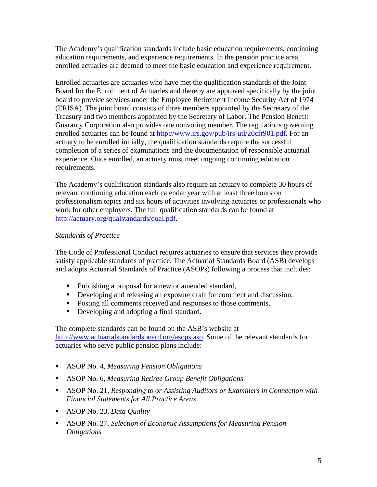The Academy's qualification standards include basic education requirements, continuing education requirements, and experience requirements. In the pension practice area, enrolled actuaries are deemed to meet the basic education and experience requirement.

Enrolled actuaries are actuaries who have met the qualification standards of the Joint Board for the Enrollment of Actuaries and thereby are approved specifically by the joint board to provide services under the Employee Retirement Income Security Act of 1974 (ERISA). The joint board consists of three members appointed by the Secretary of the Treasury and two members appointed by the Secretary of Labor. The Pension Benefit Guaranty Corporation also provides one nonvoting member. The regulations governing enrolled actuaries can be found at http://www.irs.gov/pub/irs-utl/20cfr901.pdf. For an actuary to be enrolled initially, the qualification standards require the successful completion of a series of examinations and the documentation of responsible actuarial experience. Once enrolled, an actuary must meet ongoing continuing education requirements.

The Academy's qualification standards also require an actuary to complete 30 hours of relevant continuing education each calendar year with at least three hours on professionalism topics and six hours of activities involving actuaries or professionals who work for other employers. The full qualification standards can be found at http://actuary.org/qualstandards/qual.pdf.

## *Standards of Practice*

The Code of Professional Conduct requires actuaries to ensure that services they provide satisfy applicable standards of practice. The Actuarial Standards Board (ASB) develops and adopts Actuarial Standards of Practice (ASOPs) following a process that includes:

- Publishing a proposal for a new or amended standard,
- Developing and releasing an exposure draft for comment and discussion,
- Posting all comments received and responses to those comments,
- Developing and adopting a final standard.

The complete standards can be found on the ASB's website at http://www.actuarialstandardsboard.org/asops.asp. Some of the relevant standards for actuaries who serve public pension plans include:

- ASOP No. 4, *Measuring Pension Obligations*
- ASOP No. 6, *Measuring Retiree Group Benefit Obligations*
- ASOP No. 21, *Responding to or Assisting Auditors or Examiners in Connection with Financial Statements for All Practice Areas*
- ASOP No. 23, *Data Quality*
- ASOP No. 27, *Selection of Economic Assumptions for Measuring Pension Obligations*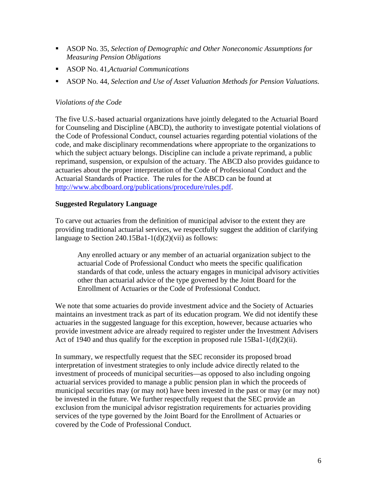- ASOP No. 35, *Selection of Demographic and Other Noneconomic Assumptions for Measuring Pension Obligations*
- ASOP No. 41,*Actuarial Communications*
- ASOP No. 44, *Selection and Use of Asset Valuation Methods for Pension Valuations.*

### *Violations of the Code*

The five U.S.-based actuarial organizations have jointly delegated to the Actuarial Board for Counseling and Discipline (ABCD), the authority to investigate potential violations of the Code of Professional Conduct, counsel actuaries regarding potential violations of the code, and make disciplinary recommendations where appropriate to the organizations to which the subject actuary belongs. Discipline can include a private reprimand, a public reprimand, suspension, or expulsion of the actuary. The ABCD also provides guidance to actuaries about the proper interpretation of the Code of Professional Conduct and the Actuarial Standards of Practice. The rules for the ABCD can be found at http://www.abcdboard.org/publications/procedure/rules.pdf.

### **Suggested Regulatory Language**

To carve out actuaries from the definition of municipal advisor to the extent they are providing traditional actuarial services, we respectfully suggest the addition of clarifying language to Section  $240.15Ba1-1(d)(2)(vii)$  as follows:

Any enrolled actuary or any member of an actuarial organization subject to the actuarial Code of Professional Conduct who meets the specific qualification standards of that code, unless the actuary engages in municipal advisory activities other than actuarial advice of the type governed by the Joint Board for the Enrollment of Actuaries or the Code of Professional Conduct.

We note that some actuaries do provide investment advice and the Society of Actuaries maintains an investment track as part of its education program. We did not identify these actuaries in the suggested language for this exception, however, because actuaries who provide investment advice are already required to register under the Investment Advisers Act of 1940 and thus qualify for the exception in proposed rule  $15Ba1-1(d)(2)(ii)$ .

In summary, we respectfully request that the SEC reconsider its proposed broad interpretation of investment strategies to only include advice directly related to the investment of proceeds of municipal securities—as opposed to also including ongoing actuarial services provided to manage a public pension plan in which the proceeds of municipal securities may (or may not) have been invested in the past or may (or may not) be invested in the future. We further respectfully request that the SEC provide an exclusion from the municipal advisor registration requirements for actuaries providing services of the type governed by the Joint Board for the Enrollment of Actuaries or covered by the Code of Professional Conduct.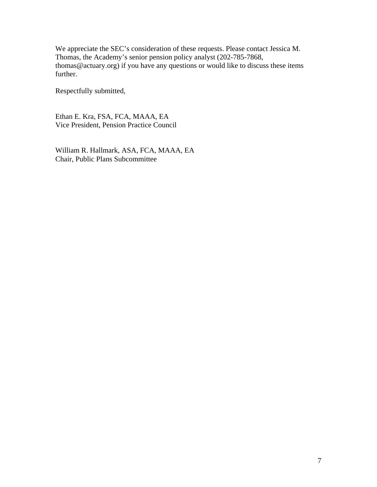We appreciate the SEC's consideration of these requests. Please contact Jessica M. Thomas, the Academy's senior pension policy analyst (202-785-7868, thomas@actuary.org) if you have any questions or would like to discuss these items further.

Respectfully submitted,

Ethan E. Kra, FSA, FCA, MAAA, EA Vice President, Pension Practice Council

William R. Hallmark, ASA, FCA, MAAA, EA Chair, Public Plans Subcommittee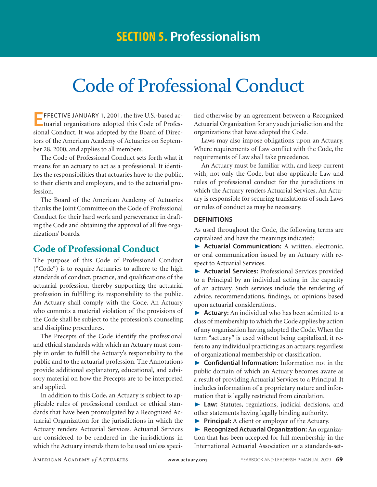# Code of Professional Conduct

**EFFECTIVE JANUARY 1, 2001, the five U.S.-based actuarial organizations adopted this Code of Profes**sional Conduct. It was adopted by the Board of Directors of the American Academy of Actuaries on September 28, 2000, and applies to all members.

The Code of Professional Conduct sets forth what it means for an actuary to act as a professional. It identifies the responsibilities that actuaries have to the public, to their clients and employers, and to the actuarial profession.

The Board of the American Academy of Actuaries thanks the Joint Committee on the Code of Professional Conduct for their hard work and perseverance in drafting the Code and obtaining the approval of all five organizations' boards.

## **Code of Professional Conduct**

The purpose of this Code of Professional Conduct ("Code") is to require Actuaries to adhere to the high standards of conduct, practice, and qualifications of the actuarial profession, thereby supporting the actuarial profession in fulfilling its responsibility to the public. An Actuary shall comply with the Code. An Actuary who commits a material violation of the provisions of the Code shall be subject to the profession's counseling and discipline procedures.

The Precepts of the Code identify the professional and ethical standards with which an Actuary must comply in order to fulfill the Actuary's responsibility to the public and to the actuarial profession. The Annotations provide additional explanatory, educational, and advisory material on how the Precepts are to be interpreted and applied.

In addition to this Code, an Actuary is subject to applicable rules of professional conduct or ethical standards that have been promulgated by a Recognized Actuarial Organization for the jurisdictions in which the Actuary renders Actuarial Services. Actuarial Services are considered to be rendered in the jurisdictions in which the Actuary intends them to be used unless specified otherwise by an agreement between a Recognized Actuarial Organization for any such jurisdiction and the organizations that have adopted the Code.

Laws may also impose obligations upon an Actuary. Where requirements of Law conflict with the Code, the requirements of Law shall take precedence.

An Actuary must be familiar with, and keep current with, not only the Code, but also applicable Law and rules of professional conduct for the jurisdictions in which the Actuary renders Actuarial Services. An Actuary is responsible for securing translations of such Laws or rules of conduct as may be necessary.

#### **Definitions**

As used throughout the Code, the following terms are capitalized and have the meanings indicated:

® **Actuarial Communication:** A written, electronic, or oral communication issued by an Actuary with respect to Actuarial Services.

® **Actuarial Services:** Professional Services provided to a Principal by an individual acting in the capacity of an actuary. Such services include the rendering of advice, recommendations, findings, or opinions based upon actuarial considerations.

® **Actuary:** An individual who has been admitted to a class of membership to which the Code applies by action of any organization having adopted the Code. When the term "actuary" is used without being capitalized, it refers to any individual practicing as an actuary, regardless of organizational membership or classification.

® **Confidential Information:** Information not in the public domain of which an Actuary becomes aware as a result of providing Actuarial Services to a Principal. It includes information of a proprietary nature and information that is legally restricted from circulation.

® **Law:** Statutes, regulations, judicial decisions, and other statements having legally binding authority.

**Principal:** A client or employer of the Actuary.

® **Recognized Actuarial Organization:** An organization that has been accepted for full membership in the International Actuarial Association or a standards-set-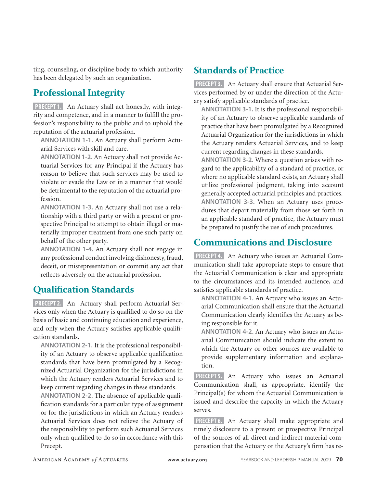ting, counseling, or discipline body to which authority has been delegated by such an organization.

# **Professional Integrity**

**PRECEPT 1.** An Actuary shall act honestly, with integrity and competence, and in a manner to fulfill the profession's responsibility to the public and to uphold the reputation of the actuarial profession.

**ANNOTATION 1-1.** An Actuary shall perform Actuarial Services with skill and care.

**ANNOTATION 1-2.** An Actuary shall not provide Actuarial Services for any Principal if the Actuary has reason to believe that such services may be used to violate or evade the Law or in a manner that would be detrimental to the reputation of the actuarial profession.

**ANNOTATION 1-3.** An Actuary shall not use a relationship with a third party or with a present or prospective Principal to attempt to obtain illegal or materially improper treatment from one such party on behalf of the other party.

**ANNOTATION 1-4.** An Actuary shall not engage in any professional conduct involving dishonesty, fraud, deceit, or misrepresentation or commit any act that reflects adversely on the actuarial profession.

## **Qualification Standards**

**PRECEPT 2.** An Actuary shall perform Actuarial Services only when the Actuary is qualified to do so on the basis of basic and continuing education and experience, and only when the Actuary satisfies applicable qualification standards.

**ANNOTATION 2-1.** It is the professional responsibility of an Actuary to observe applicable qualification standards that have been promulgated by a Recognized Actuarial Organization for the jurisdictions in which the Actuary renders Actuarial Services and to keep current regarding changes in these standards.

**ANNOTATION 2-2.** The absence of applicable qualification standards for a particular type of assignment or for the jurisdictions in which an Actuary renders Actuarial Services does not relieve the Actuary of the responsibility to perform such Actuarial Services only when qualified to do so in accordance with this Precept.

# **Standards of Practice**

**PRECEPT 3.** An Actuary shall ensure that Actuarial Services performed by or under the direction of the Actuary satisfy applicable standards of practice.

**ANNOTATION 3-1.** It is the professional responsibility of an Actuary to observe applicable standards of practice that have been promulgated by a Recognized Actuarial Organization for the jurisdictions in which the Actuary renders Actuarial Services, and to keep current regarding changes in these standards.

**ANNOTATION 3-2.** Where a question arises with regard to the applicability of a standard of practice, or where no applicable standard exists, an Actuary shall utilize professional judgment, taking into account generally accepted actuarial principles and practices. **ANNOTATION 3-3.** When an Actuary uses procedures that depart materially from those set forth in an applicable standard of practice, the Actuary must be prepared to justify the use of such procedures.

## **Communications and Disclosure**

**PRECEPT 4.** An Actuary who issues an Actuarial Communication shall take appropriate steps to ensure that the Actuarial Communication is clear and appropriate to the circumstances and its intended audience, and satisfies applicable standards of practice.

**ANNOTATION 4-1.** An Actuary who issues an Actuarial Communication shall ensure that the Actuarial Communication clearly identifies the Actuary as being responsible for it.

**ANNOTATION 4-2.** An Actuary who issues an Actuarial Communication should indicate the extent to which the Actuary or other sources are available to provide supplementary information and explanation.

**PRECEPT 5.** An Actuary who issues an Actuarial Communication shall, as appropriate, identify the Principal(s) for whom the Actuarial Communication is issued and describe the capacity in which the Actuary serves.

**PRECEPT6.** An Actuary shall make appropriate and timely disclosure to a present or prospective Principal of the sources of all direct and indirect material compensation that the Actuary or the Actuary's firm has re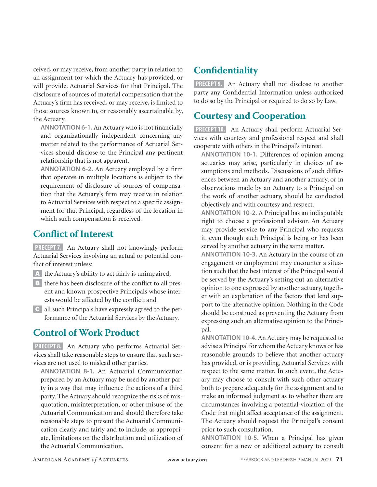ceived, or may receive, from another party in relation to an assignment for which the Actuary has provided, or will provide, Actuarial Services for that Principal. The disclosure of sources of material compensation that the Actuary's firm has received, or may receive, is limited to those sources known to, or reasonably ascertainable by, the Actuary.

**ANNOTATION 6-1.** An Actuary who is not financially and organizationally independent concerning any matter related to the performance of Actuarial Services should disclose to the Principal any pertinent relationship that is not apparent.

**ANNOTATION 6-2.** An Actuary employed by a firm that operates in multiple locations is subject to the requirement of disclosure of sources of compensation that the Actuary's firm may receive in relation to Actuarial Services with respect to a specific assignment for that Principal, regardless of the location in which such compensation is received.

# **Conflict of Interest**

**PRECEPT7.** An Actuary shall not knowingly perform Actuarial Services involving an actual or potential conflict of interest unless:

- A the Actuary's ability to act fairly is unimpaired;
- **B** there has been disclosure of the conflict to all present and known prospective Principals whose interests would be affected by the conflict; and
- c all such Principals have expressly agreed to the performance of the Actuarial Services by the Actuary.

# **Control of Work Product**

**PRECEPT 8.** An Actuary who performs Actuarial Services shall take reasonable steps to ensure that such services are not used to mislead other parties.

**ANNOTATION 8-1.** An Actuarial Communication prepared by an Actuary may be used by another party in a way that may influence the actions of a third party. The Actuary should recognize the risks of misquotation, misinterpretation, or other misuse of the Actuarial Communication and should therefore take reasonable steps to present the Actuarial Communication clearly and fairly and to include, as appropriate, limitations on the distribution and utilization of the Actuarial Communication.

# **Confidentiality**

**PRECEPT 9.** An Actuary shall not disclose to another party any Confidential Information unless authorized to do so by the Principal or required to do so by Law.

# **Courtesy and Cooperation**

**PRECEPT 10.** An Actuary shall perform Actuarial Services with courtesy and professional respect and shall cooperate with others in the Principal's interest.

**ANNOTATION 10-1.** Differences of opinion among actuaries may arise, particularly in choices of assumptions and methods. Discussions of such differences between an Actuary and another actuary, or in observations made by an Actuary to a Principal on the work of another actuary, should be conducted objectively and with courtesy and respect.

**ANNOTATION 10-2.** A Principal has an indisputable right to choose a professional advisor. An Actuary may provide service to any Principal who requests it, even though such Principal is being or has been served by another actuary in the same matter.

**ANNOTATION 10-3.** An Actuary in the course of an engagement or employment may encounter a situation such that the best interest of the Principal would be served by the Actuary's setting out an alternative opinion to one expressed by another actuary, together with an explanation of the factors that lend support to the alternative opinion. Nothing in the Code should be construed as preventing the Actuary from expressing such an alternative opinion to the Principal.

**ANNOTATION 10-4.** An Actuary may be requested to advise a Principal for whom the Actuary knows or has reasonable grounds to believe that another actuary has provided, or is providing, Actuarial Services with respect to the same matter. In such event, the Actuary may choose to consult with such other actuary both to prepare adequately for the assignment and to make an informed judgment as to whether there are circumstances involving a potential violation of the Code that might affect acceptance of the assignment. The Actuary should request the Principal's consent prior to such consultation.

**ANNOTATION 10-5.** When a Principal has given consent for a new or additional actuary to consult